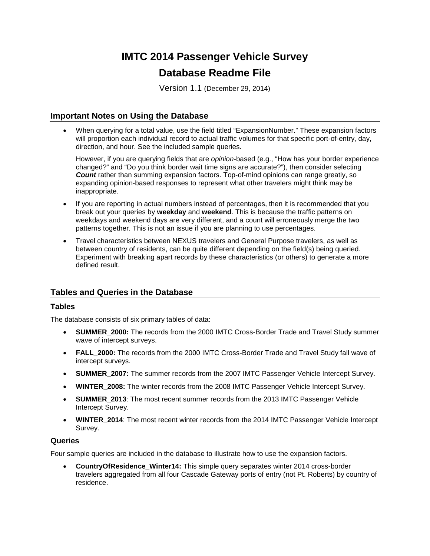# **IMTC 2014 Passenger Vehicle Survey Database Readme File**

Version 1.1 (December 29, 2014)

## **Important Notes on Using the Database**

• When querying for a total value, use the field titled "ExpansionNumber." These expansion factors will proportion each individual record to actual traffic volumes for that specific port-of-entry, day, direction, and hour. See the included sample queries.

However, if you are querying fields that are *opinion*-based (e.g., "How has your border experience changed?" and "Do you think border wait time signs are accurate?"), then consider selecting *Count* rather than summing expansion factors. Top-of-mind opinions can range greatly, so expanding opinion-based responses to represent what other travelers might think may be inappropriate.

- If you are reporting in actual numbers instead of percentages, then it is recommended that you break out your queries by **weekday** and **weekend**. This is because the traffic patterns on weekdays and weekend days are very different, and a count will erroneously merge the two patterns together. This is not an issue if you are planning to use percentages.
- Travel characteristics between NEXUS travelers and General Purpose travelers, as well as between country of residents, can be quite different depending on the field(s) being queried. Experiment with breaking apart records by these characteristics (or others) to generate a more defined result.

## **Tables and Queries in the Database**

### **Tables**

The database consists of six primary tables of data:

- **SUMMER\_2000:** The records from the 2000 IMTC Cross-Border Trade and Travel Study summer wave of intercept surveys.
- **FALL 2000:** The records from the 2000 IMTC Cross-Border Trade and Travel Study fall wave of intercept surveys.
- **SUMMER\_2007:** The summer records from the 2007 IMTC Passenger Vehicle Intercept Survey.
- **WINTER\_2008:** The winter records from the 2008 IMTC Passenger Vehicle Intercept Survey.
- **SUMMER\_2013**: The most recent summer records from the 2013 IMTC Passenger Vehicle Intercept Survey.
- **WINTER\_2014**: The most recent winter records from the 2014 IMTC Passenger Vehicle Intercept Survey.

#### **Queries**

Four sample queries are included in the database to illustrate how to use the expansion factors.

• **CountryOfResidence\_Winter14:** This simple query separates winter 2014 cross-border travelers aggregated from all four Cascade Gateway ports of entry (not Pt. Roberts) by country of residence.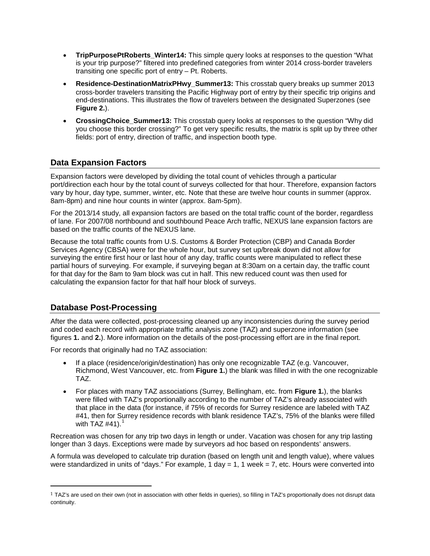- **TripPurposePtRoberts Winter14:** This simple query looks at responses to the question "What is your trip purpose?" filtered into predefined categories from winter 2014 cross-border travelers transiting one specific port of entry – Pt. Roberts.
- **Residence-DestinationMatrixPHwy\_Summer13:** This crosstab query breaks up summer 2013 cross-border travelers transiting the Pacific Highway port of entry by their specific trip origins and end-destinations. This illustrates the flow of travelers between the designated Superzones (see **Figure 2.**).
- **CrossingChoice\_Summer13:** This crosstab query looks at responses to the question "Why did you choose this border crossing?" To get very specific results, the matrix is split up by three other fields: port of entry, direction of traffic, and inspection booth type.

## **Data Expansion Factors**

Expansion factors were developed by dividing the total count of vehicles through a particular port/direction each hour by the total count of surveys collected for that hour. Therefore, expansion factors vary by hour, day type, summer, winter, etc. Note that these are twelve hour counts in summer (approx. 8am-8pm) and nine hour counts in winter (approx. 8am-5pm).

For the 2013/14 study, all expansion factors are based on the total traffic count of the border, regardless of lane. For 2007/08 northbound and southbound Peace Arch traffic, NEXUS lane expansion factors are based on the traffic counts of the NEXUS lane.

Because the total traffic counts from U.S. Customs & Border Protection (CBP) and Canada Border Services Agency (CBSA) were for the whole hour, but survey set up/break down did not allow for surveying the entire first hour or last hour of any day, traffic counts were manipulated to reflect these partial hours of surveying. For example, if surveying began at 8:30am on a certain day, the traffic count for that day for the 8am to 9am block was cut in half. This new reduced count was then used for calculating the expansion factor for that half hour block of surveys.

## **Database Post-Processing**

 $\overline{a}$ 

After the data were collected, post-processing cleaned up any inconsistencies during the survey period and coded each record with appropriate traffic analysis zone (TAZ) and superzone information (see figures **1.** and **2.**). More information on the details of the post-processing effort are in the final report.

For records that originally had no TAZ association:

- If a place (residence/origin/destination) has only one recognizable TAZ (e.g. Vancouver, Richmond, West Vancouver, etc. from **Figure 1.**) the blank was filled in with the one recognizable TAZ.
- For places with many TAZ associations (Surrey, Bellingham, etc. from **Figure 1.**), the blanks were filled with TAZ's proportionally according to the number of TAZ's already associated with that place in the data (for instance, if 75% of records for Surrey residence are labeled with TAZ #41, then for Surrey residence records with blank residence TAZ's, 75% of the blanks were filled with TAZ  $#41$  $#41$ ).<sup>1</sup>

Recreation was chosen for any trip two days in length or under. Vacation was chosen for any trip lasting longer than 3 days. Exceptions were made by surveyors ad hoc based on respondents' answers.

A formula was developed to calculate trip duration (based on length unit and length value), where values were standardized in units of "days." For example, 1 day  $= 1$ , 1 week  $= 7$ , etc. Hours were converted into

<span id="page-1-0"></span> $1$  TAZ's are used on their own (not in association with other fields in queries), so filling in TAZ's proportionally does not disrupt data continuity.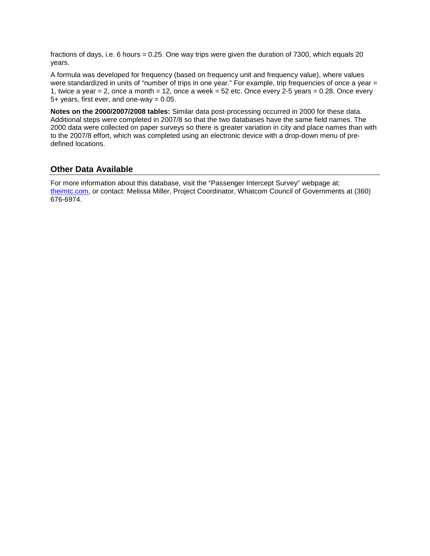fractions of days, i.e. 6 hours = 0.25. One way trips were given the duration of 7300, which equals 20 years.

A formula was developed for frequency (based on frequency unit and frequency value), where values were standardized in units of "number of trips in one year." For example, trip frequencies of once a year = 1, twice a year  $= 2$ , once a month  $= 12$ , once a week  $= 52$  etc. Once every 2-5 years  $= 0.28$ . Once every 5+ years, first ever, and one-way = 0.05.

**Notes on the 2000/2007/2008 tables:** Similar data post-processing occurred in 2000 for these data. Additional steps were completed in 2007/8 so that the two databases have the same field names. The 2000 data were collected on paper surveys so there is greater variation in city and place names than with to the 2007/8 effort, which was completed using an electronic device with a drop-down menu of predefined locations.

## **Other Data Available**

For more information about this database, visit the "Passenger Intercept Survey" webpage at: [theimtc.com,](http://theimtc.com/2013survey/) or contact: Melissa Miller, Project Coordinator, Whatcom Council of Governments at (360) 676-6974.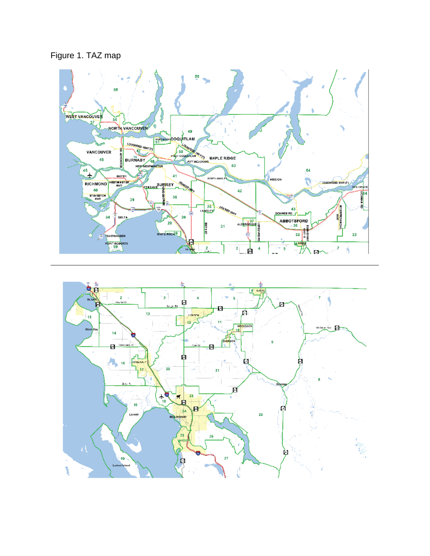Figure 1. TAZ map